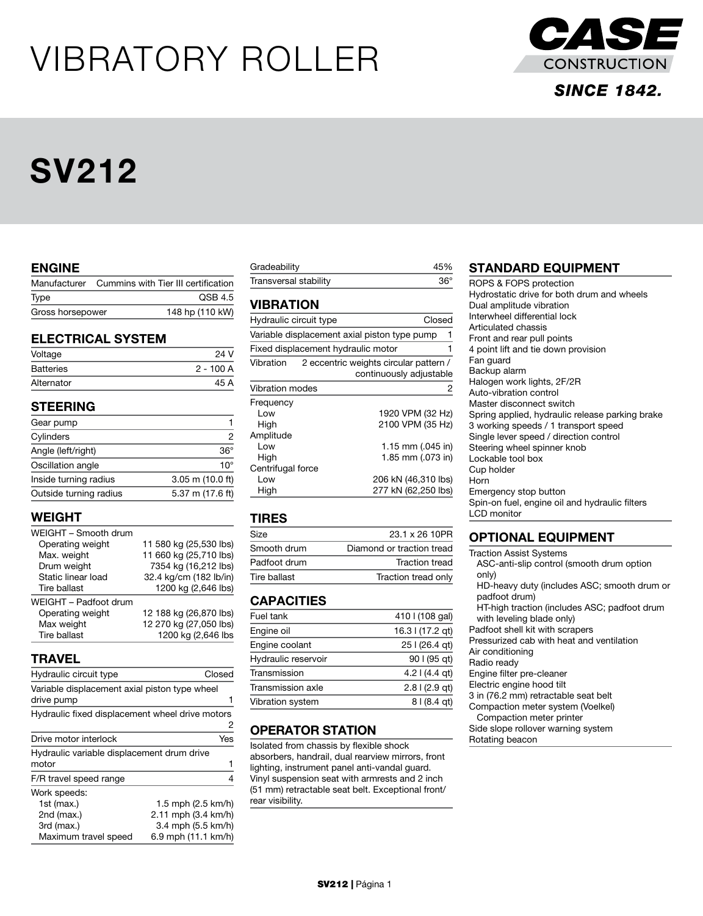# VIBRATORY ROLLER



### **SINCE 1842.**

## SV212

#### ENGINE

|                  | Manufacturer Cummins with Tier III certification |
|------------------|--------------------------------------------------|
| Type             | QSB 4.5                                          |
| Gross horsepower | 148 hp (110 kW)                                  |

#### ELECTRICAL SYSTEM

| Voltage          | 24 V       |  |
|------------------|------------|--|
| <b>Batteries</b> | $2 - 100A$ |  |
| Alternator       | 45 A       |  |

#### **STEERING**

| Gear pump              |                  |
|------------------------|------------------|
| Cylinders              | 2                |
| Angle (left/right)     | $36^\circ$       |
| Oscillation angle      | $10^{\circ}$     |
| Inside turning radius  | 3.05 m (10.0 ft) |
| Outside turning radius | 5.37 m (17.6 ft) |
|                        |                  |

#### WEIGHT

| WEIGHT - Smooth drum  |                        |
|-----------------------|------------------------|
| Operating weight      | 11 580 kg (25,530 lbs) |
| Max. weight           | 11 660 kg (25,710 lbs) |
| Drum weight           | 7354 kg (16,212 lbs)   |
| Static linear load    | 32.4 kg/cm (182 lb/in) |
| Tire ballast          | 1200 kg (2,646 lbs)    |
| WEIGHT - Padfoot drum |                        |
| Operating weight      | 12 188 kg (26,870 lbs) |
| Max weight            | 12 270 kg (27,050 lbs) |
| <b>Tire ballast</b>   | 1200 kg (2,646 lbs     |

#### **TRAVEL**

| Hydraulic circuit type                          | Closed                  |  |
|-------------------------------------------------|-------------------------|--|
| Variable displacement axial piston type wheel   |                         |  |
| drive pump                                      |                         |  |
| Hydraulic fixed displacement wheel drive motors |                         |  |
|                                                 | 2                       |  |
| Drive motor interlock                           | Yes                     |  |
| Hydraulic variable displacement drum drive      |                         |  |
| motor                                           |                         |  |
| F/R travel speed range                          |                         |  |
| Work speeds:                                    |                         |  |
| 1st $(max.)$                                    | 1.5 mph (2.5 km/h)      |  |
| 2nd (max.)                                      | $2.11$ mph $(3.4$ km/h) |  |
| 3rd (max.)                                      | 3.4 mph (5.5 km/h)      |  |
| Maximum travel speed                            | 6.9 mph (11.1 km/h)     |  |

| Gradeability          | 45%        |
|-----------------------|------------|
| Transversal stability | $36^\circ$ |

#### **VIBRATION**

| Closed<br>Hydraulic circuit type             |                                                                   |                     |  |
|----------------------------------------------|-------------------------------------------------------------------|---------------------|--|
| Variable displacement axial piston type pump |                                                                   |                     |  |
|                                              | Fixed displacement hydraulic motor                                |                     |  |
| Vibration                                    | 2 eccentric weights circular pattern /<br>continuously adjustable |                     |  |
| <b>Vibration modes</b>                       |                                                                   | 2                   |  |
| Frequency                                    |                                                                   |                     |  |
| l ow                                         |                                                                   | 1920 VPM (32 Hz)    |  |
| High                                         |                                                                   | 2100 VPM (35 Hz)    |  |
| Amplitude                                    |                                                                   |                     |  |
| l ow                                         |                                                                   | 1.15 mm (.045 in)   |  |
| High                                         |                                                                   | 1.85 mm (.073 in)   |  |
| Centrifugal force                            |                                                                   |                     |  |
| Low                                          |                                                                   | 206 kN (46,310 lbs) |  |
| High                                         |                                                                   | 277 kN (62,250 lbs) |  |

#### TIRES

| Size         | 23.1 x 26 10 PR           |
|--------------|---------------------------|
| Smooth drum  | Diamond or traction tread |
| Padfoot drum | <b>Traction tread</b>     |
| Tire ballast | Traction tread only       |

#### **CAPACITIES**

| Fuel tank           | 410   (108 gal)      |
|---------------------|----------------------|
| Engine oil          | 16.3 l (17.2 qt)     |
| Engine coolant      | 25 I (26.4 gt)       |
| Hydraulic reservoir | 90 l (95 gt)         |
| Transmission        | $4.2$   $(4.4$ qt)   |
| Transmission axle   | $2.8$ I (2.9 gt)     |
| Vibration system    | $81(8.4 \text{ qt})$ |
|                     |                      |

#### OPERATOR STATION

Isolated from chassis by flexible shock absorbers, handrail, dual rearview mirrors, front lighting, instrument panel anti-vandal guard. Vinyl suspension seat with armrests and 2 inch (51 mm) retractable seat belt. Exceptional front/ rear visibility.

#### STANDARD EQUIPMENT

| ROPS & FOPS protection                          |
|-------------------------------------------------|
| Hydrostatic drive for both drum and wheels      |
| Dual amplitude vibration                        |
| Interwheel differential lock                    |
| Articulated chassis                             |
| Front and rear pull points                      |
| 4 point lift and tie down provision             |
| Fan guard                                       |
| Backup alarm                                    |
| Halogen work lights, 2F/2R                      |
| Auto-vibration control                          |
| Master disconnect switch                        |
| Spring applied, hydraulic release parking brake |
| 3 working speeds / 1 transport speed            |
| Single lever speed / direction control          |
| Steering wheel spinner knob                     |
| Lockable tool box                               |
| Cup holder                                      |
| Horn                                            |
| Emergency stop button                           |
| Spin-on fuel, engine oil and hydraulic filters  |
| LCD monitor                                     |

#### OPTIONAL EQUIPMENT

| <b>Traction Assist Systems</b>               |
|----------------------------------------------|
| ASC-anti-slip control (smooth drum option    |
| only)                                        |
| HD-heavy duty (includes ASC; smooth drum or  |
| padfoot drum)                                |
| HT-high traction (includes ASC; padfoot drum |
| with leveling blade only)                    |
| Padfoot shell kit with scrapers              |
| Pressurized cab with heat and ventilation    |
| Air conditioning                             |
| Radio ready                                  |
| Engine filter pre-cleaner                    |
| Electric engine hood tilt                    |
| 3 in (76.2 mm) retractable seat belt         |
| Compaction meter system (Voelkel)            |
| Compaction meter printer                     |
| Side slope rollover warning system           |
| Rotating beacon                              |